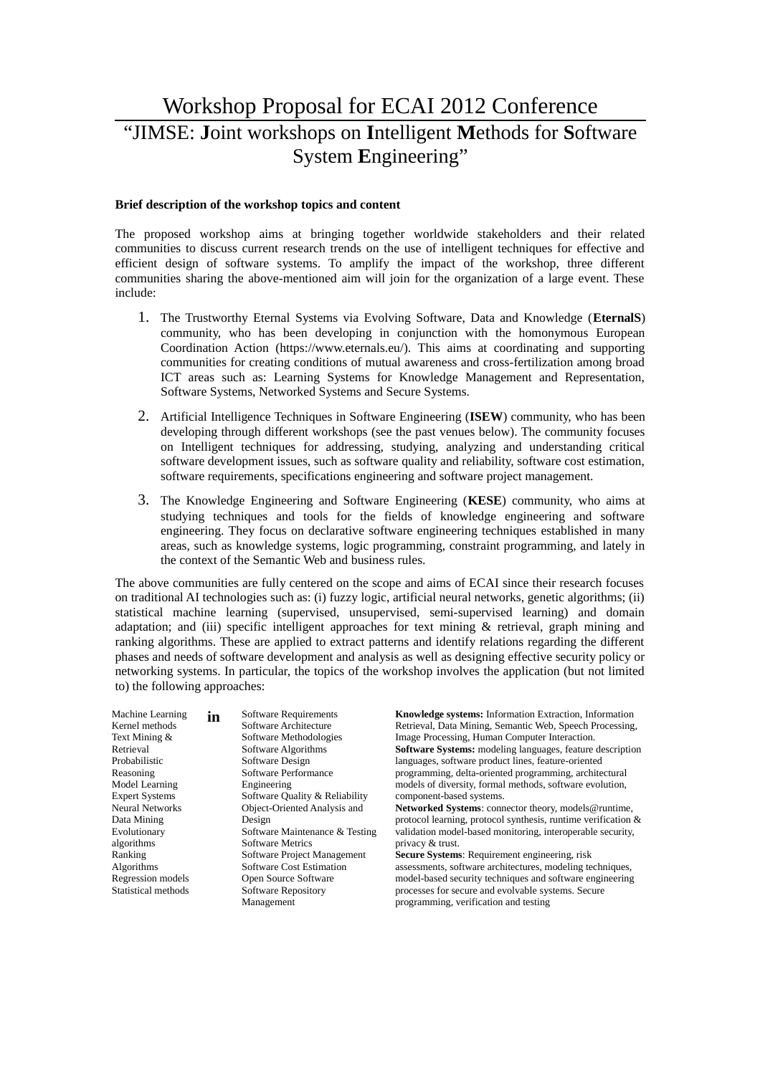# Workshop Proposal for ECAI 2012 Conference "JIMSE: **J**oint workshops on **I**ntelligent **M**ethods for **S**oftware System **E**ngineering"

# **Brief description of the workshop topics and content**

The proposed workshop aims at bringing together worldwide stakeholders and their related communities to discuss current research trends on the use of intelligent techniques for effective and efficient design of software systems. To amplify the impact of the workshop, three different communities sharing the above-mentioned aim will join for the organization of a large event. These include:

- 1. The Trustworthy Eternal Systems via Evolving Software, Data and Knowledge (**EternalS**) community, who has been developing in conjunction with the homonymous European Coordination Action (https://www.eternals.eu/). This aims at coordinating and supporting communities for creating conditions of mutual awareness and cross-fertilization among broad ICT areas such as: Learning Systems for Knowledge Management and Representation, Software Systems, Networked Systems and Secure Systems.
- 2. Artificial Intelligence Techniques in Software Engineering (**ISEW**) community, who has been developing through different workshops (see the past venues below). The community focuses on Intelligent techniques for addressing, studying, analyzing and understanding critical software development issues, such as software quality and reliability, software cost estimation, software requirements, specifications engineering and software project management.
- 3. The Knowledge Engineering and Software Engineering (**KESE**) community, who aims at studying techniques and tools for the fields of knowledge engineering and software engineering. They focus on declarative software engineering techniques established in many areas, such as knowledge systems, logic programming, constraint programming, and lately in the context of the Semantic Web and business rules.

The above communities are fully centered on the scope and aims of ECAI since their research focuses on traditional AI technologies such as: (i) fuzzy logic, artificial neural networks, genetic algorithms; (ii) statistical machine learning (supervised, unsupervised, semi-supervised learning) and domain adaptation; and (iii) specific intelligent approaches for text mining & retrieval, graph mining and ranking algorithms. These are applied to extract patterns and identify relations regarding the different phases and needs of software development and analysis as well as designing effective security policy or networking systems. In particular, the topics of the workshop involves the application (but not limited to) the following approaches:

| <b>Machine Learning</b><br>Kernel methods<br>Text Mining &<br>Retrieval<br>Probabilistic<br>Reasoning<br>Model Learning<br><b>Expert Systems</b><br><b>Neural Networks</b><br>Data Mining<br>Evolutionary<br>algorithms<br>Ranking | in | Software Requirements<br>Software Architecture<br>Software Methodologies<br>Software Algorithms<br>Software Design<br>Software Performance<br>Engineering<br>Software Quality & Reliability<br>Object-Oriented Analysis and<br>Design<br>Software Maintenance & Testing<br><b>Software Metrics</b><br>Software Project Management | Knowledge systems: Information Extraction, Information<br>Retrieval, Data Mining, Semantic Web, Speech Processing,<br>Image Processing, Human Computer Interaction.<br>Software Systems: modeling languages, feature description<br>languages, software product lines, feature-oriented<br>programming, delta-oriented programming, architectural<br>models of diversity, formal methods, software evolution,<br>component-based systems.<br>Networked Systems: connector theory, models@runtime,<br>protocol learning, protocol synthesis, runtime verification &<br>validation model-based monitoring, interoperable security,<br>privacy & trust.<br><b>Secure Systems: Requirement engineering, risk</b> |
|------------------------------------------------------------------------------------------------------------------------------------------------------------------------------------------------------------------------------------|----|-----------------------------------------------------------------------------------------------------------------------------------------------------------------------------------------------------------------------------------------------------------------------------------------------------------------------------------|--------------------------------------------------------------------------------------------------------------------------------------------------------------------------------------------------------------------------------------------------------------------------------------------------------------------------------------------------------------------------------------------------------------------------------------------------------------------------------------------------------------------------------------------------------------------------------------------------------------------------------------------------------------------------------------------------------------|
| Algorithms                                                                                                                                                                                                                         |    | <b>Software Cost Estimation</b>                                                                                                                                                                                                                                                                                                   | assessments, software architectures, modeling techniques,                                                                                                                                                                                                                                                                                                                                                                                                                                                                                                                                                                                                                                                    |
| Regression models<br>Statistical methods                                                                                                                                                                                           |    | Open Source Software<br><b>Software Repository</b><br>Management                                                                                                                                                                                                                                                                  | model-based security techniques and software engineering<br>processes for secure and evolvable systems. Secure<br>programming, verification and testing                                                                                                                                                                                                                                                                                                                                                                                                                                                                                                                                                      |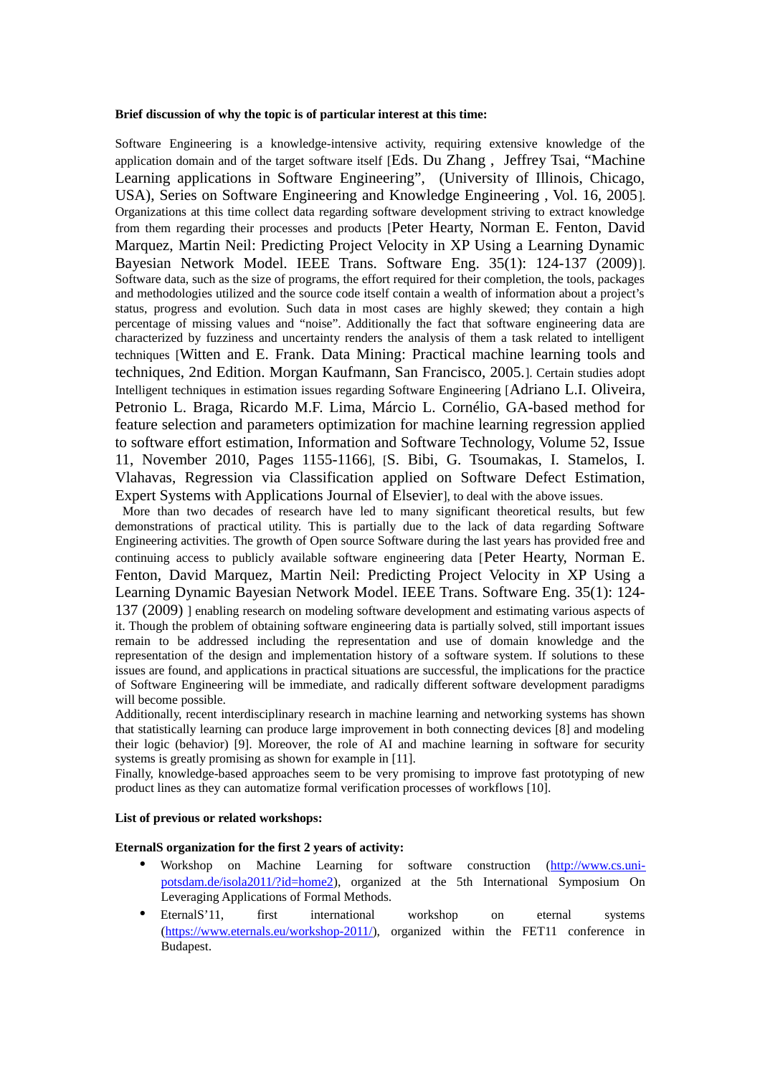### **Brief discussion of why the topic is of particular interest at this time:**

Software Engineering is a knowledge-intensive activity, requiring extensive knowledge of the application domain and of the target software itself [[Eds. Du Zhang , Jeffrey Tsai, "Machine](#page-4-0) [Learning applications in Software Engineering", \(University of Illinois, Chicago,](#page-4-0) [USA\), Series on Software Engineering and Knowledge Engineering , Vol. 16, 2005](#page-4-0)]. Organizations at this time collect data regarding software development striving to extract knowledge from them regarding their processes and products [[Peter Hearty, Norman E. Fenton, David](#page-4-1) [Marquez, Martin Neil: Predicting Project Velocity in XP Using a Learning Dynamic](#page-4-1) [Bayesian Network Model. IEEE Trans. Software Eng. 35\(1\): 124-137 \(2009\)](#page-4-1)]. Software data, such as the size of programs, the effort required for their completion, the tools, packages and methodologies utilized and the source code itself contain a wealth of information about a project's status, progress and evolution. Such data in most cases are highly skewed; they contain a high percentage of missing values and "noise". Additionally the fact that software engineering data are characterized by fuzziness and uncertainty renders the analysis of them a task related to intelligent techniques [[Witten and E. Frank. Data Mining: Practical machine learning tools and](#page-4-4) [techniques, 2nd Edition. Morgan Kaufmann, San Francisco, 2005.](#page-4-4)]. Certain studies adopt Intelligent techniques in estimation issues regarding Software Engineering [[Adriano L.I. Oliveira,](#page-4-3) Petronio L. Braga, Ricardo M.F. Lima, Márcio L. Cornélio, GA-based method for [feature selection and parameters optimization for machine learning regression applied](#page-4-3) to software effort estimation, Information and Software Technology, Volume 52, Issue [11, November 2010, Pages 1155-1166](#page-4-3)], [[S. Bibi, G. Tsoumakas, I. Stamelos, I.](#page-4-2) [Vlahavas, Regression via Classification applied on Software Defect Estimation,](#page-4-2) [Expert Systems with Applications Journal of Elsevier](#page-4-2)], to deal with the above issues.

 More than two decades of research have led to many significant theoretical results, but few demonstrations of practical utility. This is partially due to the lack of data regarding Software Engineering activities. The growth of Open source Software during the last years has provided free and continuing access to publicly available software engineering data [[Peter Hearty, Norman E.](#page-4-1) [Fenton, David Marquez, Martin Neil: Predicting Project Velocity in XP Using a](#page-4-1) Learning Dynamic Bayesian Network Model. IEEE Trans. Software Eng. 35(1): 124- [137 \(2009\)](#page-4-1) ] enabling research on modeling software development and estimating various aspects of it. Though the problem of obtaining software engineering data is partially solved, still important issues remain to be addressed including the representation and use of domain knowledge and the representation of the design and implementation history of a software system. If solutions to these issues are found, and applications in practical situations are successful, the implications for the practice of Software Engineering will be immediate, and radically different software development paradigms will become possible.

Additionally, recent interdisciplinary research in machine learning and networking systems has shown that statistically learning can produce large improvement in both connecting devices [8] and modeling their logic (behavior) [9]. Moreover, the role of AI and machine learning in software for security systems is greatly promising as shown for example in [11].

Finally, knowledge-based approaches seem to be very promising to improve fast prototyping of new product lines as they can automatize formal verification processes of workflows [10].

# **List of previous or related workshops:**

# **EternalS organization for the first 2 years of activity:**

- Workshop on Machine Learning for software construction [\(http://www.cs.uni](http://www.cs.uni-potsdam.de/isola2011/?id=home2)[potsdam.de/isola2011/?id=home2\)](http://www.cs.uni-potsdam.de/isola2011/?id=home2), organized at the 5th International Symposium On Leveraging Applications of Formal Methods.
- EternalS'11, first international workshop on eternal systems [\(https://www.eternals.eu/workshop-2011/\)](https://www.eternals.eu/workshop-2011/), organized within the FET11 conference in Budapest.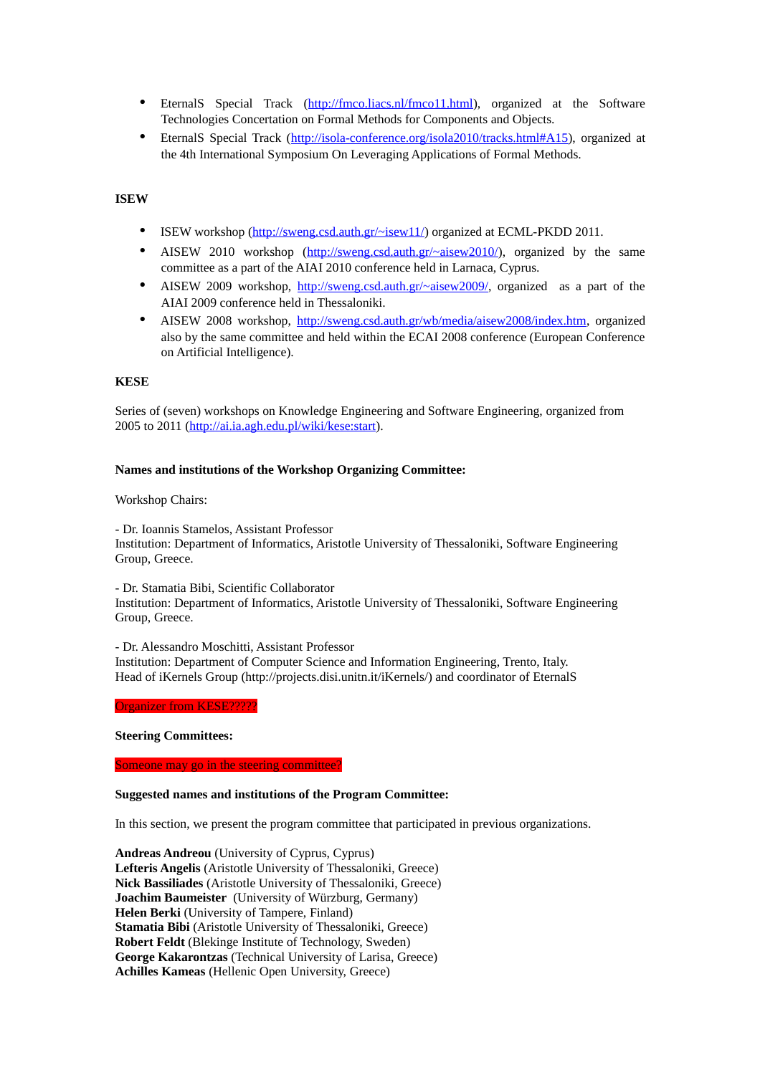- EternalS Special Track [\(http://fmco.liacs.nl/fmco11.html\)](http://fmco.liacs.nl/fmco11.html), organized at the Software Technologies Concertation on Formal Methods for Components and Objects.
- EternalS Special Track [\(http://isola-conference.org/isola2010/tracks.html#A15\)](http://isola-conference.org/isola2010/tracks.html), organized at the 4th International Symposium On Leveraging Applications of Formal Methods.

# **ISEW**

- ISEW workshop [\(http://sweng.csd.auth.gr/~isew11/\)](http://sweng.csd.auth.gr/~isew11/) organized at ECML-PKDD 2011.
- AISEW 2010 workshop [\(http://sweng.csd.auth.gr/~aisew2010/\)](http://sweng.csd.auth.gr/~aisew2010/), organized by the same committee as a part of the AIAI 2010 conference held in Larnaca, Cyprus.
- AISEW 2009 workshop,  $\frac{http://sweng.csd.auth.gr/~aisew2009/}{http://sweng.csd.auth.gr/~aisew2009/},$  organized as a part of the AIAI 2009 conference held in Thessaloniki.
- AISEW 2008 workshop, [http://sweng.csd.auth.gr/wb/media/aisew2008/index.htm,](http://sweng.csd.auth.gr/wb/media/aisew2008/index.htm) organized also by the same committee and held within the ECAI 2008 conference (European Conference on Artificial Intelligence).

#### **KESE**

Series of (seven) workshops on Knowledge Engineering and Software Engineering, organized from 2005 to 2011 [\(http://ai.ia.agh.edu.pl/wiki/kese:start\)](http://ai.ia.agh.edu.pl/wiki/kese:start).

# **Names and institutions of the Workshop Organizing Committee:**

#### Workshop Chairs:

- Dr. Ioannis Stamelos, Assistant Professor

Institution: Department of Informatics, Aristotle University of Thessaloniki, Software Engineering Group, Greece.

- Dr. Stamatia Bibi, Scientific Collaborator

Institution: Department of Informatics, Aristotle University of Thessaloniki, Software Engineering Group, Greece.

- Dr. Alessandro Moschitti, Assistant Professor

Institution: Department of Computer Science and Information Engineering, Trento, Italy. Head of iKernels Group (http://projects.disi.unitn.it/iKernels/) and coordinator of EternalS

Organizer from KESE?????

**Steering Committees:** 

Someone may go in the steering committee?

#### **Suggested names and institutions of the Program Committee:**

In this section, we present the program committee that participated in previous organizations.

**Andreas Andreou** (University of Cyprus, Cyprus) **Lefteris Angelis** (Aristotle University of Thessaloniki, Greece) **Nick Bassiliades** (Aristotle University of Thessaloniki, Greece) **Joachim Baumeister** (University of Würzburg, Germany) **Helen Berki** (University of Tampere, Finland) **Stamatia Bibi** (Aristotle University of Thessaloniki, Greece) **Robert Feldt** (Blekinge Institute of Technology, Sweden) **George Kakarontzas** (Technical University of Larisa, Greece) **Achilles Kameas** (Hellenic Open University, Greece)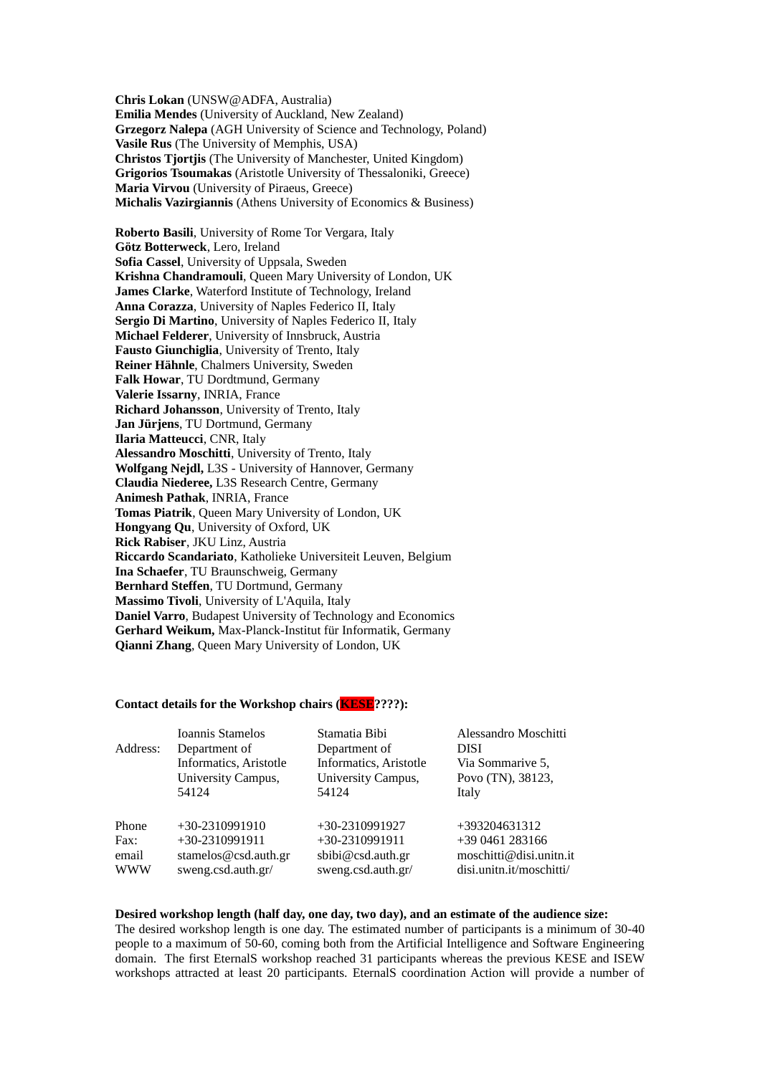**Chris Lokan** (UNSW@ADFA, Australia) **Emilia Mendes** (University of Auckland, Νew Zealand) **Grzegorz Nalepa** (AGH University of Science and Technology, Poland) **Vasile Rus** (The University of Memphis, USA) **Christos Tjortjis** (The University of Manchester, United Kingdom) **Grigorios Tsoumakas** (Aristotle University of Thessaloniki, Greece) **Maria Virvou** (University of Piraeus, Greece) **Michalis Vazirgiannis** (Athens University of Economics & Business)

**Roberto Basili**, University of Rome Tor Vergara, Italy **Götz Botterweck**, Lero, Ireland **Sofia Cassel**, University of Uppsala, Sweden **Krishna Chandramouli**, Queen Mary University of London, UK **James Clarke**, Waterford Institute of Technology, Ireland **Anna Corazza**, University of Naples Federico II, Italy **Sergio Di Martino**, University of Naples Federico II, Italy **Michael Felderer**, University of Innsbruck, Austria **Fausto Giunchiglia**, University of Trento, Italy **Reiner Hähnle**, Chalmers University, Sweden **Falk Howar**, TU Dordtmund, Germany **Valerie Issarny**, INRIA, France **Richard Johansson**, University of Trento, Italy **Jan Jürjens**, TU Dortmund, Germany **Ilaria Matteucci**, CNR, Italy **Alessandro Moschitti**, University of Trento, Italy **Wolfgang Nejdl,** L3S - University of Hannover, Germany **Claudia Niederee,** L3S Research Centre, Germany **Animesh Pathak**, INRIA, France **Tomas Piatrik**, Queen Mary University of London, UK **Hongyang Qu**, University of Oxford, UK **Rick Rabiser**, JKU Linz, Austria **Riccardo Scandariato**, Katholieke Universiteit Leuven, Belgium **Ina Schaefer**, TU Braunschweig, Germany **Bernhard Steffen**, TU Dortmund, Germany **Massimo Tivoli**, University of L'Aquila, Italy **Daniel Varro**, Budapest University of Technology and Economics **Gerhard Weikum,** Max-Planck-Institut für Informatik, Germany **Qianni Zhang**, Queen Mary University of London, UK

#### **Contact details for the Workshop chairs (KESE????):**

| Address:   | Ioannis Stamelos          | Stamatia Bibi             | Alessandro Moschitti     |
|------------|---------------------------|---------------------------|--------------------------|
|            | Department of             | Department of             | DISI                     |
|            | Informatics, Aristotle    | Informatics, Aristotle    | Via Sommarive 5,         |
|            | <b>University Campus,</b> | <b>University Campus,</b> | Povo (TN), 38123,        |
|            | 54124                     | 54124                     | Italy                    |
| Phone      | +30-2310991910            | +30-2310991927            | +393204631312            |
| Fax:       | +30-2310991911            | +30-2310991911            | +39 0461 283166          |
| email      | stamelos@csd.auth.gr      | sbibi@csd.auth.gr         | moschitti@disi.unitn.it  |
| <b>WWW</b> | sweng.csd.auth.gr/        | sweng.csd.auth.gr/        | disi.unitn.it/moschitti/ |

# **Desired workshop length (half day, one day, two day), and an estimate of the audience size:**

The desired workshop length is one day. The estimated number of participants is a minimum of 30-40 people to a maximum of 50-60, coming both from the Artificial Intelligence and Software Engineering domain. The first EternalS workshop reached 31 participants whereas the previous KESE and ISEW workshops attracted at least 20 participants. EternalS coordination Action will provide a number of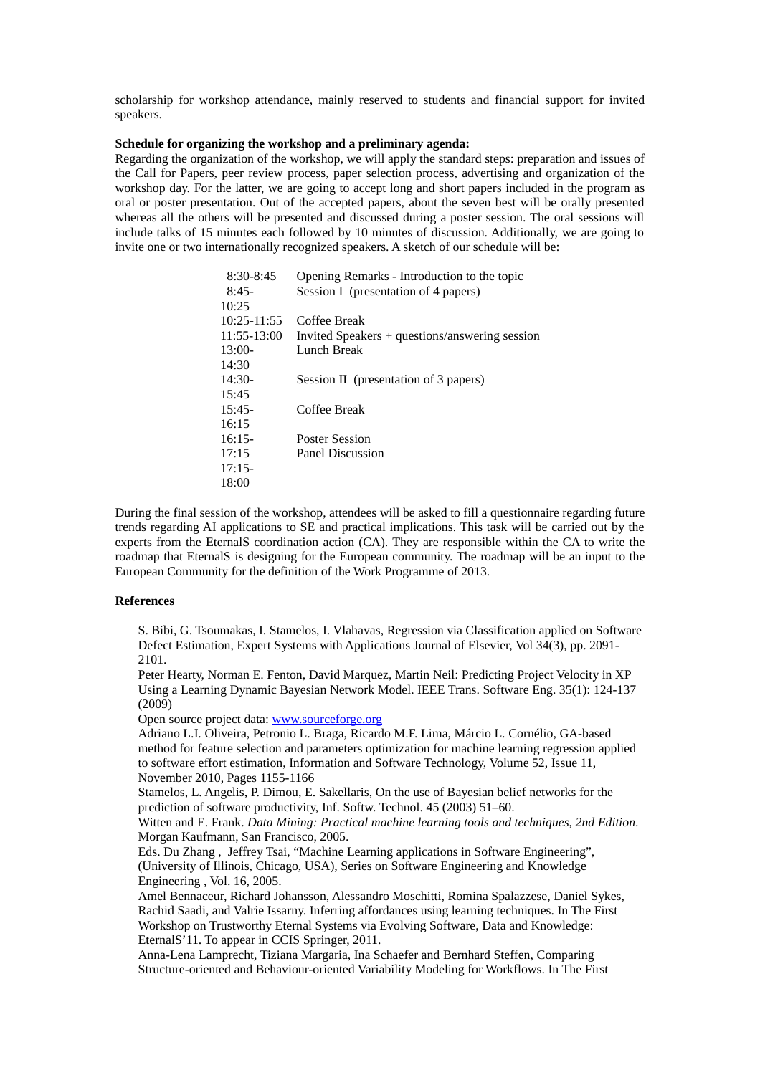scholarship for workshop attendance, mainly reserved to students and financial support for invited speakers.

### **Schedule for organizing the workshop and a preliminary agenda:**

Regarding the organization of the workshop, we will apply the standard steps: preparation and issues of the Call for Papers, peer review process, paper selection process, advertising and organization of the workshop day. For the latter, we are going to accept long and short papers included in the program as oral or poster presentation. Out of the accepted papers, about the seven best will be orally presented whereas all the others will be presented and discussed during a poster session. The oral sessions will include talks of 15 minutes each followed by 10 minutes of discussion. Additionally, we are going to invite one or two internationally recognized speakers. A sketch of our schedule will be:

| $8:30 - 8:45$ | Opening Remarks - Introduction to the topic    |
|---------------|------------------------------------------------|
| $8:45-$       | Session I (presentation of 4 papers)           |
| 10:25         |                                                |
| 10:25-11:55   | Coffee Break                                   |
| 11:55-13:00   | Invited Speakers + questions/answering session |
| $13:00-$      | Lunch Break                                    |
| 14:30         |                                                |
| $14:30-$      | Session II (presentation of 3 papers)          |
| 15:45         |                                                |
| $15:45-$      | Coffee Break                                   |
| 16:15         |                                                |
| $16:15-$      | <b>Poster Session</b>                          |
| 17:15         | Panel Discussion                               |
| $17:15-$      |                                                |
| 18:00         |                                                |

During the final session of the workshop, attendees will be asked to fill a questionnaire regarding future trends regarding AI applications to SE and practical implications. This task will be carried out by the experts from the EternalS coordination action (CA). They are responsible within the CA to write the roadmap that EternalS is designing for the European community. The roadmap will be an input to the European Community for the definition of the Work Programme of 2013.

#### **References**

<span id="page-4-2"></span>S. Bibi, G. Tsoumakas, I. Stamelos, I. Vlahavas, Regression via Classification applied on Software Defect Estimation, Expert Systems with Applications Journal of Elsevier, Vol 34(3), pp. 2091- 2101.

<span id="page-4-1"></span>Peter Hearty, Norman E. Fenton, David Marquez, Martin Neil: Predicting Project Velocity in XP Using a Learning Dynamic Bayesian Network Model. IEEE Trans. Software Eng. 35(1): 124-137 (2009)

Open source project data: [www.sourceforge.org](http://www.sourceforge.org/)

<span id="page-4-3"></span>Adriano L.I. Oliveira, Petronio L. Braga, Ricardo M.F. Lima, Márcio L. Cornélio, GA-based method for feature selection and parameters optimization for machine learning regression applied to software effort estimation, Information and Software Technology, Volume 52, Issue 11, November 2010, Pages 1155-1166

Stamelos, L. Angelis, P. Dimou, E. Sakellaris, On the use of Bayesian belief networks for the prediction of software productivity, Inf. Softw. Technol. 45 (2003) 51–60.

<span id="page-4-4"></span>Witten and E. Frank. *Data Mining: Practical machine learning tools and techniques, 2nd Edition.* Morgan Kaufmann, San Francisco, 2005.

<span id="page-4-0"></span>Eds. Du Zhang , Jeffrey Tsai, "Machine Learning applications in Software Engineering", (University of Illinois, Chicago, USA), Series on Software Engineering and Knowledge Engineering , Vol. 16, 2005.

Amel Bennaceur, Richard Johansson, Alessandro Moschitti, Romina Spalazzese, Daniel Sykes, Rachid Saadi, and Valrie Issarny. Inferring affordances using learning techniques. In The First Workshop on Trustworthy Eternal Systems via Evolving Software, Data and Knowledge: EternalS'11. To appear in CCIS Springer, 2011.

Anna-Lena Lamprecht, Tiziana Margaria, Ina Schaefer and Bernhard Steffen, Comparing Structure-oriented and Behaviour-oriented Variability Modeling for Workflows. In The First